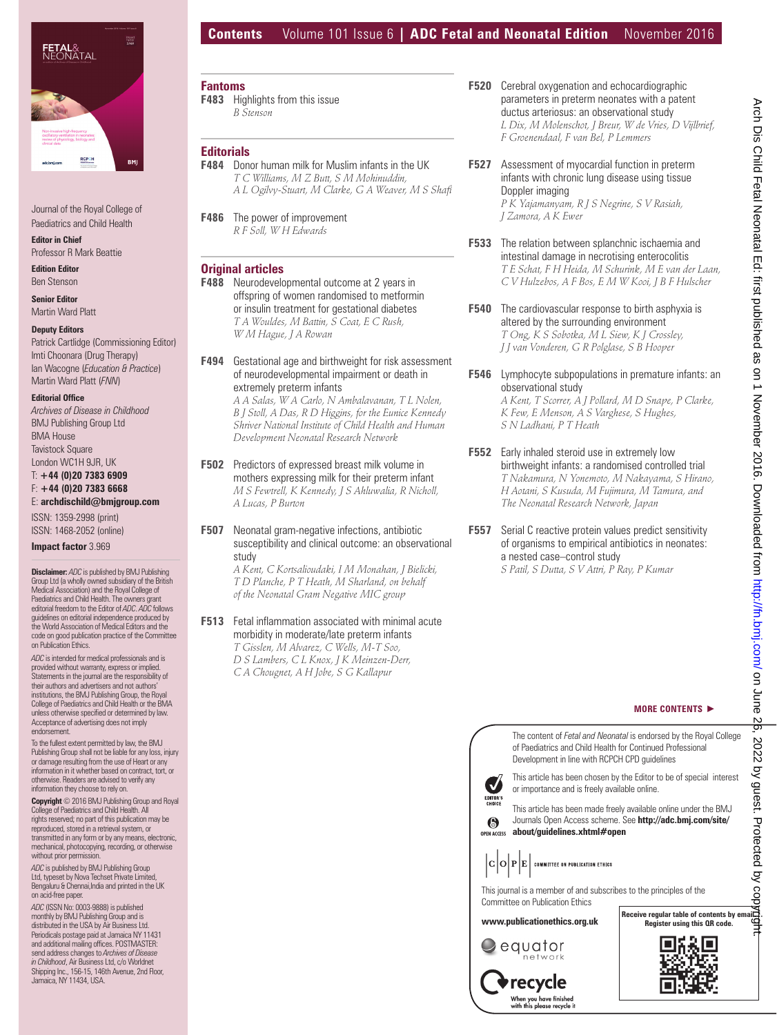

Journal of the Royal College of Paediatrics and Child Health

**Editor in Chief** Professor R Mark Beattie

**Edition Editor** Ben Stenson

**Senior Editor** Martin Ward Platt

#### **Deputy Editors**

Patrick Cartlidge (Commissioning Editor) Imti Choonara (Drug Therapy) Ian Wacogne (*Education & Practice*) Martin Ward Platt (*FNN*)

#### **Editorial Office**

*Archives of Disease in Childhood* BMJ Publishing Group Ltd BMA House **Tavistock Square** London WC1H 9JR, UK T: **+44 (0)20 7383 6909** F: **+44 (0)20 7383 6668**

## E: **archdischild@bmjgroup.com**

ISSN: 1359-2998 (print)

ISSN: 1468-2052 (online)

**Impact factor** 3.969

**Disclaimer:** *ADC* is published by BMJ Publishing Group Ltd (a wholly owned subsidiary of the British Medical Association) and the Royal College of Paediatrics and Child Health. The owners grant editorial freedom to the Editor of *ADC*. *ADC* follows guidelines on editorial independence produced by the World Association of Medical Editors and the code on good publication practice of the Committee on Publication Ethics.

*ADC* is intended for medical professionals and is provided without warranty, express or implied. Statements in the journal are the responsibility of their authors and advertisers and not authors' institutions, the BMJ Publishing Group, the Royal College of Paediatrics and Child Health or the BMA unless otherwise specified or determined by law. Acceptance of advertising does not imply endorsement.

To the fullest extent permitted by law, the BMJ Publishing Group shall not be liable for any loss, injury or damage resulting from the use of Heart or any information in it whether based on contract, tort, or otherwise. Readers are advised to verify any information they choose to rely on.

**Copyright** © 2016 BMJ Publishing Group and Royal lege of Paediatrics and Child Health. All rights reserved; no part of this publication may be reproduced, stored in a retrieval system, or transmitted in any form or by any means, electronic, mechanical, photocopying, recording, or otherwise without prior permission.

*ADC* is published by BMJ Publishing Group Ltd, typeset by Nova Techset Private Limited,<br>Bengaluru & Chennai,India and printed in the UK on acid-free paper.

*ADC* (ISSN No: 0003-9888) is published monthly by BMJ Publishing Group and is distributed in the USA by Air Business Ltd. Periodicals postage paid at Jamaica NY 11431 and additional mailing offices. POSTMASTER:<br>send address changes to *Archives of Disease in Childhood*, Air Business Ltd, c/o Worldnet Shipping Inc., 156-15, 146th Avenue, 2nd Floor, Jamaica, NY 11434, USA.

# **Contents** Volume 101 Issue 6 **| ADC Fetal and Neonatal Edition** November 2016

**Fantoms F483** Highlights from this issue *B Stenson*

## **Editorials**

 **F484** Donor human milk for Muslim infants in the UK  *T C Williams, M Z Butt, S M Mohinuddin, A L Ogilvy-Stuart, M Clarke, G A Weaver, M S Shafi* 

**F486** The power of improvement  *R F Soll, W H Edwards* 

## **Original articles**

- **F488** Neurodevelopmental outcome at 2 years in offspring of women randomised to metformin or insulin treatment for gestational diabetes  *T A Wouldes, M Battin, S Coat, E C Rush, W M Hague, J A Rowan*
- **F494** Gestational age and birthweight for risk assessment of neurodevelopmental impairment or death in extremely preterm infants

 *A A Salas, W A Carlo, N Ambalavanan, T L Nolen, B J Stoll, A Das, R D Higgins, for the Eunice Kennedy Shriver National Institute of Child Health and Human Development Neonatal Research Network* 

- **F502** Predictors of expressed breast milk volume in mothers expressing milk for their preterm infant  *M S Fewtrell, K Kennedy, J S Ahluwalia, R Nicholl, A Lucas, P Burton*
- **F507** Neonatal gram-negative infections, antibiotic susceptibility and clinical outcome: an observational study

 *A Kent, C Kortsalioudaki, I M Monahan, J Bielicki, T D Planche, P T Heath, M Sharland, on behalf of the Neonatal Gram Negative MIC group* 

#### **F513** Fetal inflammation associated with minimal acute morbidity in moderate/late preterm infants

 *T Gisslen, M Alvarez, C Wells, M-T Soo, D S Lambers, C L Knox, J K Meinzen-Derr, C A Chougnet, A H Jobe, S G Kallapur* 

- **F520** Cerebral oxygenation and echocardiographic parameters in preterm neonates with a patent ductus arteriosus: an observational study  *L Dix, M Molenschot, J Breur, W de Vries, D Vijlbrief, F Groenendaal, F van Bel, P Lemmers*
- **F527** Assessment of myocardial function in preterm infants with chronic lung disease using tissue Doppler imaging  *P K Yajamanyam, R J S Negrine, S V Rasiah, J Zamora, A K Ewer*
- **F533** The relation between splanchnic ischaemia and intestinal damage in necrotising enterocolitis  *T E Schat, F H Heida, M Schurink, M E van der Laan, C V Hulzebos, A F Bos, E M W Kooi, J B F Hulscher*
- **F540** The cardiovascular response to birth asphyxia is altered by the surrounding environment  *T Ong, K S Sobotka, M L Siew, K J Crossley, J J van Vonderen, G R Polglase, S B Hooper*
- **F546** Lymphocyte subpopulations in premature infants: an observational study

 *A Kent, T Scorrer, A J Pollard, M D Snape, P Clarke, K Few, E Menson, A S Varghese, S Hughes, S N Ladhani, P T Heath* 

- **F552** Early inhaled steroid use in extremely low birthweight infants: a randomised controlled trial  *T Nakamura, N Yonemoto, M Nakayama, S Hirano, H Aotani, S Kusuda, M Fujimura, M Tamura, and The Neonatal Research Network, Japan*
- **F557** Serial C reactive protein values predict sensitivity of organisms to empirical antibiotics in neonates: a nested case–control study  *S Patil, S Dutta, S V Attri, P Ray, P Kumar*

#### **MORE CONTENTS** -